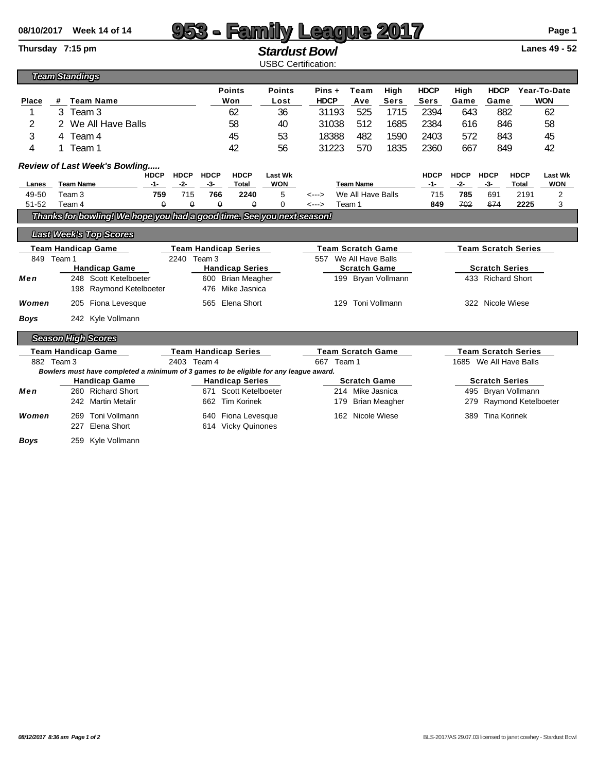| 08/10/2017                                                                        | <b>Week 14 of 14</b>                                                                  |                                                  |                             |                                                     |                        |                                           |                                               |                                              |                     | <b>eague 2017</b>                                    |                       |                            |                              |                     | Page 1         |  |  |
|-----------------------------------------------------------------------------------|---------------------------------------------------------------------------------------|--------------------------------------------------|-----------------------------|-----------------------------------------------------|------------------------|-------------------------------------------|-----------------------------------------------|----------------------------------------------|---------------------|------------------------------------------------------|-----------------------|----------------------------|------------------------------|---------------------|----------------|--|--|
|                                                                                   | Thursday 7:15 pm                                                                      |                                                  | <b>Stardust Bowl</b>        |                                                     |                        |                                           |                                               |                                              |                     |                                                      | Lanes 49 - 52         |                            |                              |                     |                |  |  |
| <b>USBC Certification:</b><br><b>Team Standings</b>                               |                                                                                       |                                                  |                             |                                                     |                        |                                           |                                               |                                              |                     |                                                      |                       |                            |                              |                     |                |  |  |
|                                                                                   |                                                                                       |                                                  |                             | <b>Points</b><br><b>Points</b>                      |                        |                                           | Pins +<br>Team<br>High                        |                                              |                     | <b>HDCP</b>                                          | <b>HDCP</b><br>High   |                            |                              | Year-To-Date        |                |  |  |
| Place                                                                             | #<br><b>Team Name</b>                                                                 |                                                  |                             |                                                     | Won<br>Lost            |                                           | <b>HDCP</b>                                   |                                              | Ave<br><b>Sers</b>  |                                                      | <b>Sers</b>           | Game                       | Game                         |                     | <b>WON</b>     |  |  |
| 1                                                                                 | 3 Team 3                                                                              |                                                  |                             |                                                     | 62                     |                                           | 31193                                         |                                              | 525<br>1715         |                                                      | 2394                  | 643                        |                              | 882                 | 62             |  |  |
| 2                                                                                 | 2 We All Have Balls                                                                   |                                                  |                             |                                                     | 58                     | 40                                        | 31038                                         |                                              | 512<br>1685         |                                                      | 2384                  | 616                        |                              | 846                 | 58             |  |  |
| 3                                                                                 | 4 Team 4                                                                              |                                                  |                             |                                                     | 45                     | 53                                        | 18388                                         |                                              | 482<br>1590         |                                                      | 2403                  | 572                        |                              | 843                 | 45             |  |  |
| 4                                                                                 | Team 1<br>1.                                                                          |                                                  |                             |                                                     | 42                     | 56                                        | 31223                                         |                                              | 570<br>1835         |                                                      | 2360                  | 667<br>849                 |                              |                     | 42             |  |  |
|                                                                                   | <b>Review of Last Week's Bowling</b>                                                  |                                                  |                             |                                                     |                        |                                           |                                               |                                              |                     |                                                      |                       |                            |                              |                     |                |  |  |
|                                                                                   |                                                                                       | <b>HDCP</b>                                      | <b>HDCP</b>                 | <b>HDCP</b>                                         | <b>HDCP</b>            | <b>Last Wk</b>                            |                                               |                                              |                     |                                                      | <b>HDCP</b>           | <b>HDCP</b>                | <b>HDCP</b>                  | <b>HDCP</b>         | <b>Last Wk</b> |  |  |
| <b>Lanes</b><br>49-50                                                             |                                                                                       | $-2-$<br><b>Team Name</b><br>$-1-$               |                             | $-3-$<br>766                                        | Total<br>2240          | <b>WON</b><br>5                           | <b>Team Name</b><br>We All Have Balls         |                                              | $-1-$<br>715        | $-2-$<br>785                                         | $-3-$<br>691          | Total<br>2191              | <b>WON</b><br>$\overline{2}$ |                     |                |  |  |
| $51 - 52$                                                                         | Team 4                                                                                | 715<br>Team <sub>3</sub><br>759<br>$\theta$<br>θ |                             |                                                     | $\theta$               | 0                                         | $\leftarrow$ $\rightarrow$<br>Team 1<br><---> |                                              |                     | 849                                                  | 702                   | 674                        | 2225                         | 3                   |                |  |  |
| $\theta$<br>Thanks for bowling! We hope you had a good time. See you next season! |                                                                                       |                                                  |                             |                                                     |                        |                                           |                                               |                                              |                     |                                                      |                       |                            |                              |                     |                |  |  |
|                                                                                   |                                                                                       |                                                  |                             |                                                     |                        |                                           |                                               |                                              |                     |                                                      |                       |                            |                              |                     |                |  |  |
|                                                                                   | <b>Last Week's Top Scores</b>                                                         |                                                  |                             |                                                     |                        |                                           |                                               |                                              |                     |                                                      |                       |                            |                              |                     |                |  |  |
| <b>Team Handicap Game</b>                                                         |                                                                                       |                                                  | <b>Team Handicap Series</b> |                                                     |                        |                                           | <b>Team Scratch Game</b>                      |                                              |                     |                                                      |                       | <b>Team Scratch Series</b> |                              |                     |                |  |  |
|                                                                                   | 849<br>Team 1<br><b>Handicap Game</b>                                                 |                                                  |                             | Team <sub>3</sub><br>2240<br><b>Handicap Series</b> |                        |                                           |                                               | 557 We All Have Balls<br><b>Scratch Game</b> |                     |                                                      |                       |                            | <b>Scratch Series</b>        |                     |                |  |  |
| Men                                                                               | 248 Scott Ketelboeter                                                                 |                                                  |                             | 600 Brian Meagher                                   |                        |                                           |                                               | 199 Bryan Vollmann                           |                     |                                                      |                       |                            | 433 Richard Short            |                     |                |  |  |
|                                                                                   | 198 Raymond Ketelboeter                                                               |                                                  |                             | 476                                                 | Mike Jasnica           |                                           |                                               |                                              |                     |                                                      |                       |                            |                              |                     |                |  |  |
| Women                                                                             | Fiona Levesque<br>205                                                                 |                                                  | Elena Short<br>565          |                                                     |                        |                                           |                                               |                                              | 129 Toni Vollmann   |                                                      |                       | 322 Nicole Wiese           |                              |                     |                |  |  |
| <b>Boys</b>                                                                       | 242 Kyle Vollmann                                                                     |                                                  |                             |                                                     |                        |                                           |                                               |                                              |                     |                                                      |                       |                            |                              |                     |                |  |  |
|                                                                                   |                                                                                       |                                                  |                             |                                                     |                        |                                           |                                               |                                              |                     |                                                      |                       |                            |                              |                     |                |  |  |
|                                                                                   | <b>Season High Scores</b>                                                             |                                                  |                             |                                                     |                        |                                           |                                               |                                              |                     |                                                      |                       |                            |                              |                     |                |  |  |
| <b>Team Handicap Game</b><br>2403 Team 4<br>882 Team 3                            |                                                                                       |                                                  |                             | <b>Team Handicap Series</b>                         |                        | <b>Team Scratch Game</b><br>667<br>Team 1 |                                               |                                              |                     | <b>Team Scratch Series</b><br>1685 We All Have Balls |                       |                            |                              |                     |                |  |  |
|                                                                                   | Bowlers must have completed a minimum of 3 games to be eligible for any league award. |                                                  |                             |                                                     |                        |                                           |                                               |                                              |                     |                                                      |                       |                            |                              |                     |                |  |  |
|                                                                                   | <b>Handicap Game</b>                                                                  |                                                  |                             |                                                     | <b>Handicap Series</b> |                                           |                                               |                                              | <b>Scratch Game</b> |                                                      |                       |                            | <b>Scratch Series</b>        |                     |                |  |  |
| Men                                                                               | 260 Richard Short                                                                     |                                                  | Scott Ketelboeter<br>671    |                                                     |                        |                                           | Mike Jasnica<br>214                           |                                              |                     |                                                      | Bryan Vollmann<br>495 |                            |                              |                     |                |  |  |
|                                                                                   | 242 Martin Metalir                                                                    |                                                  |                             |                                                     | 662 Tim Korinek        |                                           |                                               | 179                                          |                     | <b>Brian Meagher</b>                                 |                       | 279                        |                              | Raymond Ketelboeter |                |  |  |
| Women                                                                             | Toni Vollmann<br>269                                                                  |                                                  |                             |                                                     | 640 Fiona Levesque     |                                           |                                               | 162                                          | Nicole Wiese        |                                                      |                       | 389                        |                              | <b>Tina Korinek</b> |                |  |  |
|                                                                                   | Elena Short<br>227                                                                    |                                                  |                             |                                                     | 614 Vicky Quinones     |                                           |                                               |                                              |                     |                                                      |                       |                            |                              |                     |                |  |  |
| Boys                                                                              | Kyle Vollmann<br>259                                                                  |                                                  |                             |                                                     |                        |                                           |                                               |                                              |                     |                                                      |                       |                            |                              |                     |                |  |  |
|                                                                                   |                                                                                       |                                                  |                             |                                                     |                        |                                           |                                               |                                              |                     |                                                      |                       |                            |                              |                     |                |  |  |
|                                                                                   |                                                                                       |                                                  |                             |                                                     |                        |                                           |                                               |                                              |                     |                                                      |                       |                            |                              |                     |                |  |  |